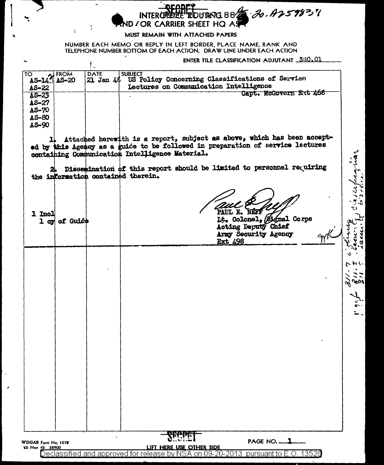## 30-A259837 NA 882 **INTERG** ND / OR CARRIER SHEET HQ AS

## MUST REMAIN WITH ATTACHED PAPERS

NUMBER EACH MEMO OR REPLY IN LEFT BORDER, PLACE NAME, RANK AND TELEPHONE NUMBER BOTTOM OF EACH ACTION. DRAW LINE UNDER EACH ACTION

ENTER FILE CLASSIFICATION ADJUTANT 330.01

| <b>O</b><br><b>AS-14</b> <sup>2</sup> AS-20<br>TO | <b>DATE</b> | <b>SUBJECT</b><br>21 Jan 46 US Policy Concerning Classifications of Service |
|---------------------------------------------------|-------------|-----------------------------------------------------------------------------|
| $AS-22$                                           |             | Lectures on Communication Intelligence                                      |
| $AS-23$                                           |             | Capt. McGovern Ert 468                                                      |
|                                                   |             |                                                                             |
| $AS - 27$                                         |             |                                                                             |
| AS-70                                             |             |                                                                             |
|                                                   |             |                                                                             |
| AS-80                                             |             |                                                                             |
| AS-90                                             |             |                                                                             |
|                                                   |             |                                                                             |
|                                                   |             |                                                                             |

1. Attached herewith is a report, subject as above, which has been accepted by this Agency as a guide to be followed in preparation of service lectures containing Communication Intelligence Material.

Dissemination of this report should be limited to personnel requiring the information contained therein.

**NÉF1** PAUL E.

1 Incl 1 cy of Guide

÷,

 $\mathbf{L}$ 

Lt. Colonel, *Eignal* Corps<br>Acting Deputy Chief Army Security Agency Ext 498

21 Ō. わし **MULI** ર્ભો

 $\int d\mu$ 

PAGE NO. 1 WDGAS Form No. 1078 26 Nov 45 38900 LIFT HERE USE OTHER SIDE Declassified and approved for release by NSA on 09-20-2013 pursuant to E.O. 13526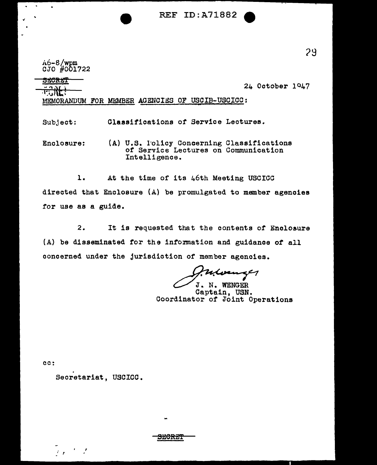REF ID:A71882

 $A6 - 8$ /wpm CJO #001722

 $\bullet$ 

24 October io47

.. "lt' MEMORANDUM FOR MEMBER AGENCIES OF USCIB-USCICC:

Subject: Classifications *ot* Service Lectures.

Enclosure: (A) U.S. lolicy Concerning Classifications of Service Lectures on Communication Intelligence.

1. At the time of its 46th Meeting USCICC directed that Enclosure {A) be promulgated to member agencies *tor* use as a guide.

*2.* It is requested that the contents *ot* Enclosure (A) be disseminated for the information and guidance *of* all concerned under the jurisdiction of member agencies.

S~CRE'f

J. N. WENGER

Captain, USN. Coordinator of Joint Operations

cc:

Secretariat, USCICC.

- 7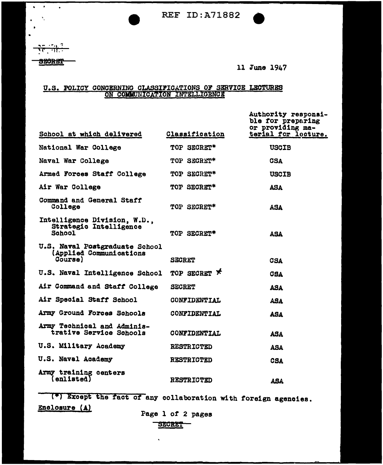REF ID:A71882

**NETH!** 

 $\bullet$ 

•

 $\mathbf{r} = \mathbf{r}$ 

 $\mathcal{N}_{\mathcal{A}}$ 

**SEORET** 

11 June 1947

## U.S. POLICY CONCERNING CLASSIFICATIONS OF SERVICE LECTURES ON COMMUNICATION INTELLIGENCE

| School at which delivered                                            | <b>Classification</b> | Authority responsi-<br>ble for preparing<br>or providing ma-<br>terial for locture. |
|----------------------------------------------------------------------|-----------------------|-------------------------------------------------------------------------------------|
| National War College                                                 | TOP SECRET*           | <b>USCIB</b>                                                                        |
| Naval War College                                                    | TOP SECRET*           | <b>CSA</b>                                                                          |
| Armed Forces Staff College                                           | TOP SECRET*           | <b>USCIB</b>                                                                        |
| Air War College                                                      | TOP SECRET*           | <b>ASA</b>                                                                          |
| Command and General Staff<br>College                                 | TOP SECRET*           | <b>ASA</b>                                                                          |
| Intelligence Division, W.D.,<br>Strategic Intelligence<br>School     | TOP SECRET*           | <b>ASA</b>                                                                          |
| U.S. Naval Postgraduate School<br>(Applied Communications<br>Course) | <b>SECRET</b>         | <b>CSA</b>                                                                          |
| U.S. Naval Intelligence School                                       | TOP SECRET *          | <b>CSA</b>                                                                          |
| Air Command and Staff College                                        | <b>SECRET</b>         | <b>ASA</b>                                                                          |
| Air Special Staff School                                             | CONFIDENTIAL          | <b>ASA</b>                                                                          |
| Army Ground Forces Schools                                           | CONFIDENTIAL          | <b>ASA</b>                                                                          |
| Army Technical and Adminis-<br>trative Service Schools               | CONFIDENTIAL          | <b>ASA</b>                                                                          |
| <b>U.S. Military Academy</b>                                         | RESTRICTED            | <b>ASA</b>                                                                          |
| U.S. Naval Academy                                                   | <b>RESTRICTED</b>     | <b>CSA</b>                                                                          |
| Army training centers<br>$\mathcal{L}$ enlisted)                     | <b>RESTRICTED</b>     | ASA                                                                                 |

(\*) Except the tact *ot* any collaboration with foreign agencies. Enclosure (A) Page 1 of 2 pages

SECRET<sup>-</sup>

 $\ddot{\phantom{0}}$